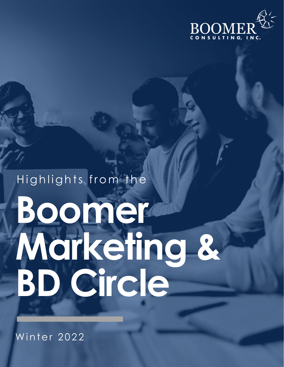

# Highlights from the Boomer Marketing & BD Circle

Winter 2022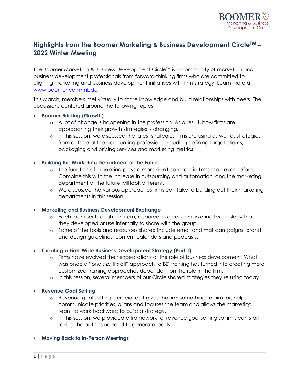

# **Highlights from the Boomer Marketing & Business Development CircleTM – 2022 Winter Meeting**

The Boomer Marketing & Business Development Circle<sup>TM</sup> is a community of marketing and business development professionals from forward-thinking firms who are committed to aligning marketing and business development initiatives with firm strategy. Learn more at www.boomer.com/mbdc.

This March, members met virtually to share knowledge and build relationships with peers. The discussions centered around the following topics.

# • **Boomer Briefing (Growth)**

- o A lot of change is happening in the profession. As a result, how firms are approaching their growth strategies is changing.
- $\circ$  In this session, we discussed the latest strategies firms are using as well as strategies from outside of the accounting profession, including defining target clients, packaging and pricing services and marketing metrics.

# • **Building the Marketing Department of the Future**

- $\circ$  The function of marketing plays a more significant role in firms than ever before. Combine this with the increase in outsourcing and automation, and the marketing department of the future will look different.
- o We discussed the various approaches firms can take to building out their marketing departments in this session.

# • **Marketing and Business Development Exchange**

- o Each member brought an item, resource, project or marketing technology that they developed or use internally to share with the group.
- o Some of the tools and resources shared include email and mail campaigns, brand and design guidelines, content calendars and podcasts.

# • **Creating a Firm-Wide Business Development Strategy (Part 1)**

- o Firms have evolved their expectations of the role of business development. What was once a "one size fits all" approach to BD training has turned into creating more customized training approaches dependent on the role in the firm.
- o In this session, several members of our Circle shared strategies they're using today.

# • **Revenue Goal Setting**

- o Revenue goal setting is crucial as it gives the firm something to aim for, helps communicate priorities, aligns and focuses the team and allows the marketing team to work backward to build a strategy.
- o In this session, we provided a framework for revenue goal setting so firms can start taking the actions needed to generate leads.

# • **Moving Back to In-Person Meetings**